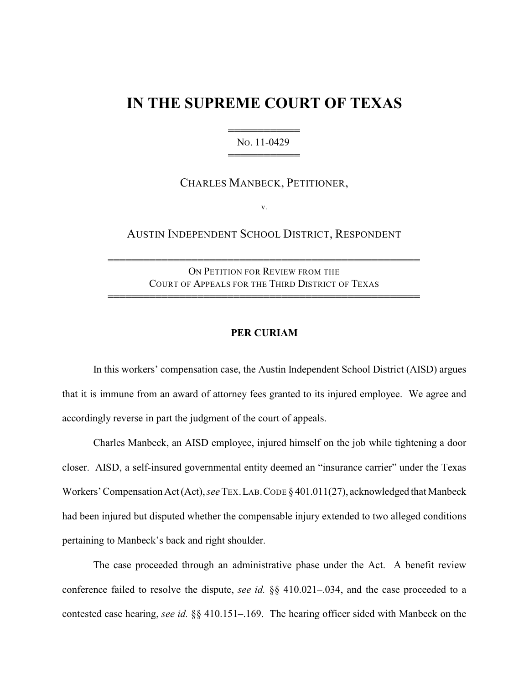## **IN THE SUPREME COURT OF TEXAS**

444444444444 NO. 11-0429 444444444444

CHARLES MANBECK, PETITIONER,

v.

AUSTIN INDEPENDENT SCHOOL DISTRICT, RESPONDENT

ON PETITION FOR REVIEW FROM THE COURT OF APPEALS FOR THE THIRD DISTRICT OF TEXAS

4444444444444444444444444444444444444444444444444444

4444444444444444444444444444444444444444444444444444

## **PER CURIAM**

In this workers' compensation case, the Austin Independent School District (AISD) argues that it is immune from an award of attorney fees granted to its injured employee. We agree and accordingly reverse in part the judgment of the court of appeals.

Charles Manbeck, an AISD employee, injured himself on the job while tightening a door closer. AISD, a self-insured governmental entity deemed an "insurance carrier" under the Texas Workers' Compensation Act (Act), *see* TEX.LAB.CODE § 401.011(27), acknowledged that Manbeck had been injured but disputed whether the compensable injury extended to two alleged conditions pertaining to Manbeck's back and right shoulder.

The case proceeded through an administrative phase under the Act. A benefit review conference failed to resolve the dispute, *see id.* §§ 410.021–.034, and the case proceeded to a contested case hearing, *see id.* §§ 410.151–.169. The hearing officer sided with Manbeck on the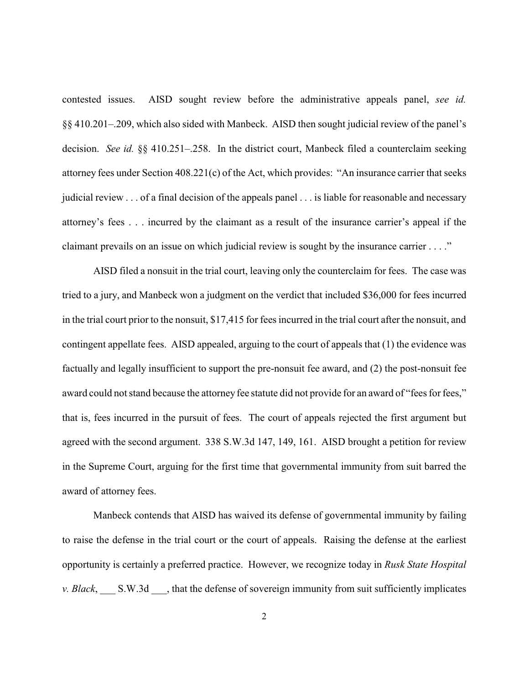contested issues. AISD sought review before the administrative appeals panel, *see id.* §§ 410.201–.209, which also sided with Manbeck. AISD then sought judicial review of the panel's decision. *See id.* §§ 410.251–.258. In the district court, Manbeck filed a counterclaim seeking attorney fees under Section 408.221(c) of the Act, which provides: "An insurance carrier that seeks judicial review . . . of a final decision of the appeals panel . . . is liable for reasonable and necessary attorney's fees . . . incurred by the claimant as a result of the insurance carrier's appeal if the claimant prevails on an issue on which judicial review is sought by the insurance carrier . . . ."

AISD filed a nonsuit in the trial court, leaving only the counterclaim for fees. The case was tried to a jury, and Manbeck won a judgment on the verdict that included \$36,000 for fees incurred in the trial court prior to the nonsuit, \$17,415 for fees incurred in the trial court after the nonsuit, and contingent appellate fees. AISD appealed, arguing to the court of appeals that (1) the evidence was factually and legally insufficient to support the pre-nonsuit fee award, and (2) the post-nonsuit fee award could not stand because the attorney fee statute did not provide for an award of "fees for fees," that is, fees incurred in the pursuit of fees. The court of appeals rejected the first argument but agreed with the second argument. 338 S.W.3d 147, 149, 161. AISD brought a petition for review in the Supreme Court, arguing for the first time that governmental immunity from suit barred the award of attorney fees.

Manbeck contends that AISD has waived its defense of governmental immunity by failing to raise the defense in the trial court or the court of appeals. Raising the defense at the earliest opportunity is certainly a preferred practice. However, we recognize today in *Rusk State Hospital v. Black*, S.W.3d hat the defense of sovereign immunity from suit sufficiently implicates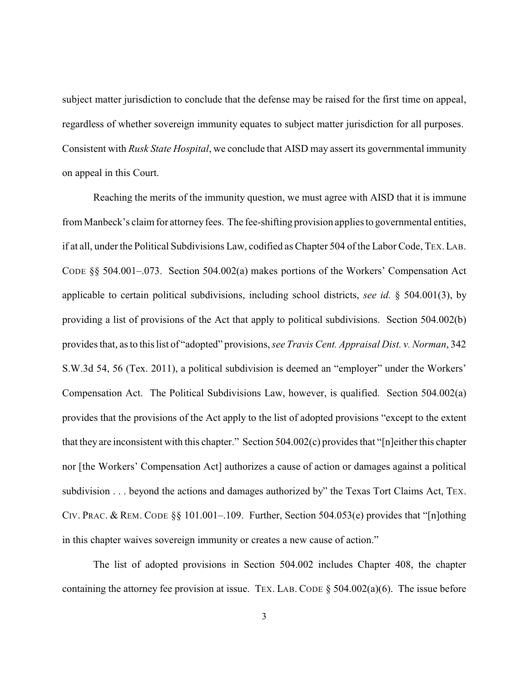subject matter jurisdiction to conclude that the defense may be raised for the first time on appeal, regardless of whether sovereign immunity equates to subject matter jurisdiction for all purposes. Consistent with *Rusk State Hospital*, we conclude that AISD may assert its governmental immunity on appeal in this Court.

Reaching the merits of the immunity question, we must agree with AISD that it is immune from Manbeck's claim for attorney fees. The fee-shifting provision applies to governmental entities, if at all, under the Political Subdivisions Law, codified as Chapter 504 of the Labor Code, TEX.LAB. CODE §§ 504.001–.073. Section 504.002(a) makes portions of the Workers' Compensation Act applicable to certain political subdivisions, including school districts, *see id.* § 504.001(3), by providing a list of provisions of the Act that apply to political subdivisions. Section 504.002(b) provides that, as to this list of "adopted" provisions, *see Travis Cent. Appraisal Dist. v. Norman*, 342 S.W.3d 54, 56 (Tex. 2011), a political subdivision is deemed an "employer" under the Workers' Compensation Act. The Political Subdivisions Law, however, is qualified. Section 504.002(a) provides that the provisions of the Act apply to the list of adopted provisions "except to the extent that they are inconsistent with this chapter." Section 504.002(c) provides that "[n]either this chapter nor [the Workers' Compensation Act] authorizes a cause of action or damages against a political subdivision . . . beyond the actions and damages authorized by" the Texas Tort Claims Act, TEX. CIV. PRAC. & REM. CODE §§ 101.001–.109. Further, Section 504.053(e) provides that "[n]othing in this chapter waives sovereign immunity or creates a new cause of action."

The list of adopted provisions in Section 504.002 includes Chapter 408, the chapter containing the attorney fee provision at issue. TEX. LAB. CODE  $\S$  504.002(a)(6). The issue before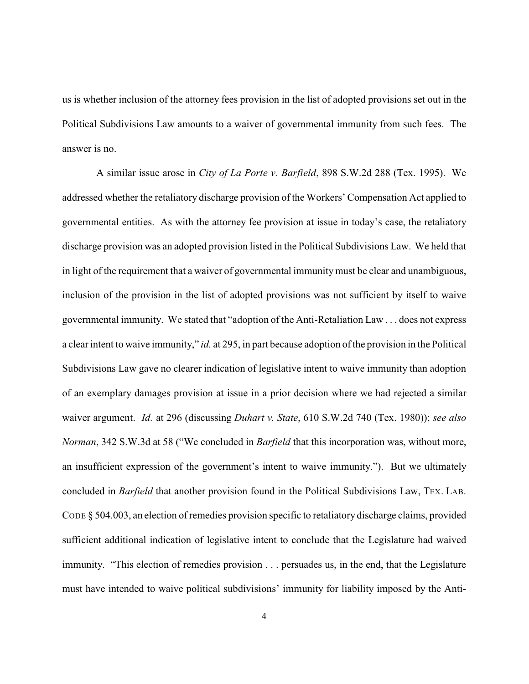us is whether inclusion of the attorney fees provision in the list of adopted provisions set out in the Political Subdivisions Law amounts to a waiver of governmental immunity from such fees. The answer is no.

A similar issue arose in *City of La Porte v. Barfield*, 898 S.W.2d 288 (Tex. 1995). We addressed whether the retaliatory discharge provision of the Workers' Compensation Act applied to governmental entities. As with the attorney fee provision at issue in today's case, the retaliatory discharge provision was an adopted provision listed in the Political Subdivisions Law. We held that in light of the requirement that a waiver of governmental immunity must be clear and unambiguous, inclusion of the provision in the list of adopted provisions was not sufficient by itself to waive governmental immunity. We stated that "adoption of the Anti-Retaliation Law . . . does not express a clear intent to waive immunity," *id.* at 295, in part because adoption of the provision in the Political Subdivisions Law gave no clearer indication of legislative intent to waive immunity than adoption of an exemplary damages provision at issue in a prior decision where we had rejected a similar waiver argument. *Id.* at 296 (discussing *Duhart v. State*, 610 S.W.2d 740 (Tex. 1980)); *see also Norman*, 342 S.W.3d at 58 ("We concluded in *Barfield* that this incorporation was, without more, an insufficient expression of the government's intent to waive immunity."). But we ultimately concluded in *Barfield* that another provision found in the Political Subdivisions Law, TEX. LAB. CODE § 504.003, an election of remedies provision specific to retaliatory discharge claims, provided sufficient additional indication of legislative intent to conclude that the Legislature had waived immunity. "This election of remedies provision . . . persuades us, in the end, that the Legislature must have intended to waive political subdivisions' immunity for liability imposed by the Anti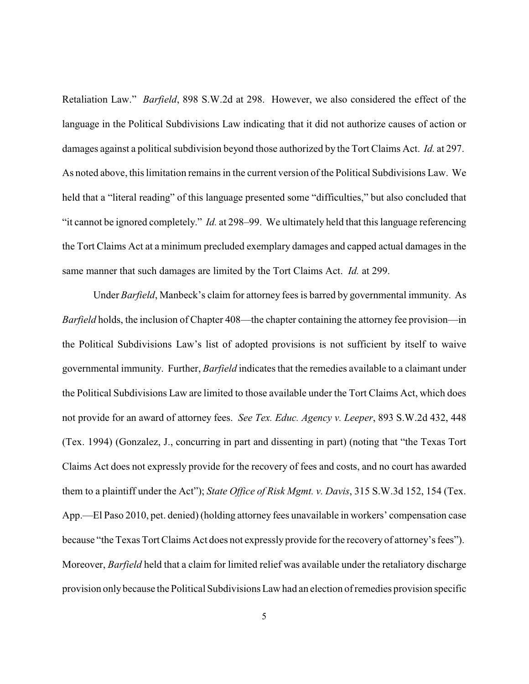Retaliation Law." *Barfield*, 898 S.W.2d at 298. However, we also considered the effect of the language in the Political Subdivisions Law indicating that it did not authorize causes of action or damages against a political subdivision beyond those authorized by the Tort Claims Act. *Id.* at 297. As noted above, this limitation remains in the current version of the Political Subdivisions Law. We held that a "literal reading" of this language presented some "difficulties," but also concluded that "it cannot be ignored completely." *Id.* at 298–99. We ultimately held that this language referencing the Tort Claims Act at a minimum precluded exemplary damages and capped actual damages in the same manner that such damages are limited by the Tort Claims Act. *Id.* at 299.

Under *Barfield*, Manbeck's claim for attorney fees is barred by governmental immunity. As *Barfield* holds, the inclusion of Chapter 408—the chapter containing the attorney fee provision—in the Political Subdivisions Law's list of adopted provisions is not sufficient by itself to waive governmental immunity. Further, *Barfield* indicates that the remedies available to a claimant under the Political Subdivisions Law are limited to those available under the Tort Claims Act, which does not provide for an award of attorney fees. *See Tex. Educ. Agency v. Leeper*, 893 S.W.2d 432, 448 (Tex. 1994) (Gonzalez, J., concurring in part and dissenting in part) (noting that "the Texas Tort Claims Act does not expressly provide for the recovery of fees and costs, and no court has awarded them to a plaintiff under the Act"); *State Office of Risk Mgmt. v. Davis*, 315 S.W.3d 152, 154 (Tex. App.—El Paso 2010, pet. denied) (holding attorney fees unavailable in workers' compensation case because "the Texas Tort Claims Act does not expressly provide for the recovery of attorney's fees"). Moreover, *Barfield* held that a claim for limited relief was available under the retaliatory discharge provision onlybecause the Political Subdivisions Law had an election of remedies provision specific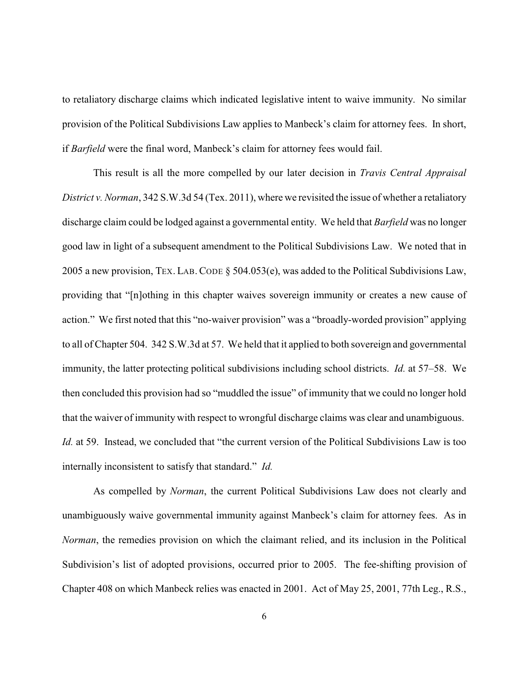to retaliatory discharge claims which indicated legislative intent to waive immunity. No similar provision of the Political Subdivisions Law applies to Manbeck's claim for attorney fees. In short, if *Barfield* were the final word, Manbeck's claim for attorney fees would fail.

This result is all the more compelled by our later decision in *Travis Central Appraisal District v. Norman*, 342 S.W.3d 54 (Tex. 2011), where we revisited the issue of whether a retaliatory discharge claim could be lodged against a governmental entity. We held that *Barfield* was no longer good law in light of a subsequent amendment to the Political Subdivisions Law. We noted that in 2005 a new provision, TEX. LAB. CODE § 504.053(e), was added to the Political Subdivisions Law, providing that "[n]othing in this chapter waives sovereign immunity or creates a new cause of action." We first noted that this "no-waiver provision" was a "broadly-worded provision" applying to all of Chapter 504. 342 S.W.3d at 57. We held that it applied to both sovereign and governmental immunity, the latter protecting political subdivisions including school districts. *Id.* at 57–58. We then concluded this provision had so "muddled the issue" of immunity that we could no longer hold that the waiver of immunity with respect to wrongful discharge claims was clear and unambiguous. *Id.* at 59. Instead, we concluded that "the current version of the Political Subdivisions Law is too internally inconsistent to satisfy that standard." *Id.*

As compelled by *Norman*, the current Political Subdivisions Law does not clearly and unambiguously waive governmental immunity against Manbeck's claim for attorney fees. As in *Norman*, the remedies provision on which the claimant relied, and its inclusion in the Political Subdivision's list of adopted provisions, occurred prior to 2005. The fee-shifting provision of Chapter 408 on which Manbeck relies was enacted in 2001. Act of May 25, 2001, 77th Leg., R.S.,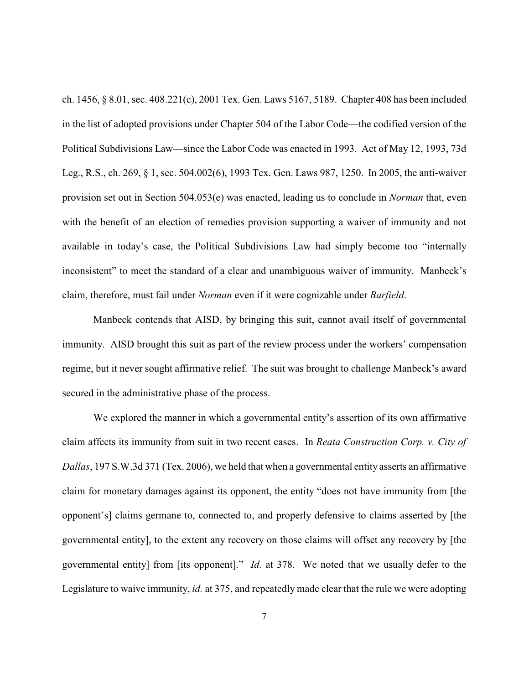ch. 1456, § 8.01, sec. 408.221(c), 2001 Tex. Gen. Laws 5167, 5189. Chapter 408 has been included in the list of adopted provisions under Chapter 504 of the Labor Code—the codified version of the Political Subdivisions Law—since the Labor Code was enacted in 1993. Act of May 12, 1993, 73d Leg., R.S., ch. 269, § 1, sec. 504.002(6), 1993 Tex. Gen. Laws 987, 1250. In 2005, the anti-waiver provision set out in Section 504.053(e) was enacted, leading us to conclude in *Norman* that, even with the benefit of an election of remedies provision supporting a waiver of immunity and not available in today's case, the Political Subdivisions Law had simply become too "internally inconsistent" to meet the standard of a clear and unambiguous waiver of immunity. Manbeck's claim, therefore, must fail under *Norman* even if it were cognizable under *Barfield*.

Manbeck contends that AISD, by bringing this suit, cannot avail itself of governmental immunity. AISD brought this suit as part of the review process under the workers' compensation regime, but it never sought affirmative relief. The suit was brought to challenge Manbeck's award secured in the administrative phase of the process.

We explored the manner in which a governmental entity's assertion of its own affirmative claim affects its immunity from suit in two recent cases. In *Reata Construction Corp. v. City of Dallas*, 197 S.W.3d 371 (Tex. 2006), we held that when a governmental entity asserts an affirmative claim for monetary damages against its opponent, the entity "does not have immunity from [the opponent's] claims germane to, connected to, and properly defensive to claims asserted by [the governmental entity], to the extent any recovery on those claims will offset any recovery by [the governmental entity] from [its opponent]." *Id.* at 378. We noted that we usually defer to the Legislature to waive immunity, *id.* at 375, and repeatedly made clear that the rule we were adopting